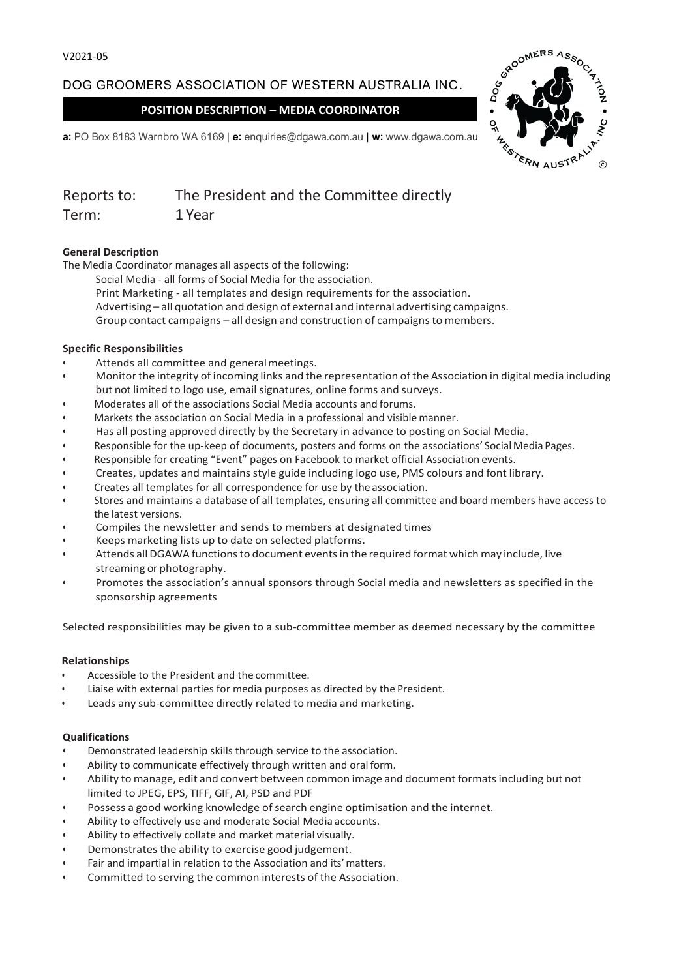# DOG GROOMERS ASSOCIATION OF WESTERN AUSTRALIA INC.

## **POSITION DESCRIPTION – MEDIA COORDINATOR**



**a:** PO Box 8183 Warnbro WA 6169 | **e:** enquiries@dgawa.com.au | **w:** www.dgawa.com.au

| Reports to: | The President and the Committee directly |
|-------------|------------------------------------------|
| Term:       | 1 Year                                   |

### **General Description**

The Media Coordinator manages all aspects of the following:

Social Media - all forms of Social Media for the association. Print Marketing - all templates and design requirements for the association. Advertising – all quotation and design of external and internal advertising campaigns.

Group contact campaigns – all design and construction of campaigns to members.

#### **Specific Responsibilities**

- Attends all committee and general meetings.
- Monitor the integrity of incoming links and the representation of the Association in digital media including but not limited to logo use, email signatures, online forms and surveys.
- Moderates all of the associations Social Media accounts and forums.
- Markets the association on Social Media in a professional and visible manner.
- Has all posting approved directly by the Secretary in advance to posting on Social Media.
- Responsible for the up-keep of documents, posters and forms on the associations' Social Media Pages.
- Responsible for creating "Event" pages on Facebook to market official Association events.
- Creates, updates and maintains style guide including logo use, PMS colours and font library.
- Creates all templates for all correspondence for use by the association.
- Stores and maintains a database of all templates, ensuring all committee and board members have access to the latest versions.
- Compiles the newsletter and sends to members at designated times
- Keeps marketing lists up to date on selected platforms.
- Attends all DGAWA functions to document events in the required format which may include, live streaming or photography.
- Promotes the association's annual sponsors through Social media and newsletters as specified in the sponsorship agreements

Selected responsibilities may be given to a sub-committee member as deemed necessary by the committee

### **Relationships**

- Accessible to the President and the committee.
- Liaise with external parties for media purposes as directed by the President.
- Leads any sub-committee directly related to media and marketing.

#### **Qualifications**

- Demonstrated leadership skills through service to the association.
- Ability to communicate effectively through written and oral form.
- Ability to manage, edit and convert between common image and document formatsincluding but not limited to JPEG, EPS, TIFF, GIF, AI, PSD and PDF
- Possess a good working knowledge of search engine optimisation and the internet.
- Ability to effectively use and moderate Social Media accounts.
- Ability to effectively collate and market material visually.
- Demonstrates the ability to exercise good judgement.
- Fair and impartial in relation to the Association and its'matters.
- Committed to serving the common interests of the Association.